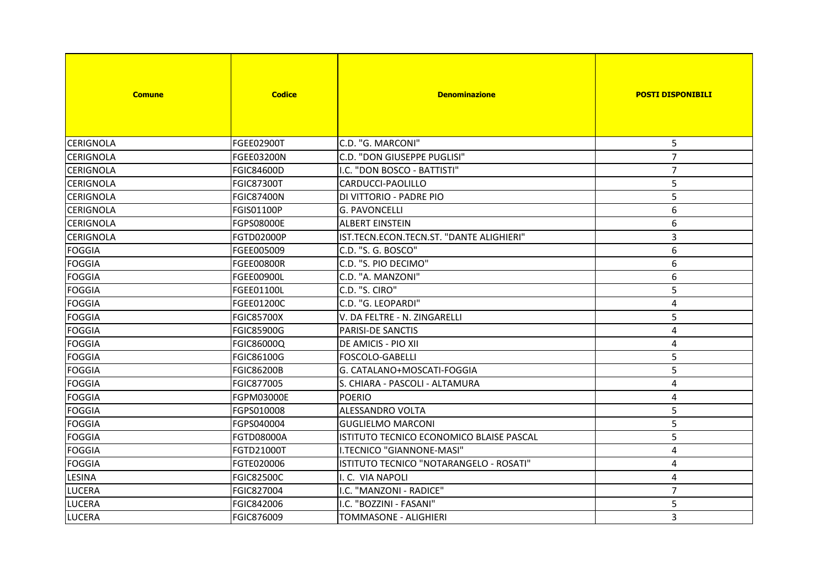| <b>Comune</b>    | <b>Codice</b>     | <b>Denominazione</b>                     | <b>POSTI DISPONIBILI</b> |
|------------------|-------------------|------------------------------------------|--------------------------|
| <b>CERIGNOLA</b> | FGEE02900T        | C.D. "G. MARCONI"                        | 5                        |
| <b>CERIGNOLA</b> | <b>FGEE03200N</b> | C.D. "DON GIUSEPPE PUGLISI"              | $\overline{7}$           |
| ICERIGNOLA       | <b>FGIC84600D</b> | I.C. "DON BOSCO - BATTISTI"              | $\overline{7}$           |
| <b>CERIGNOLA</b> | <b>FGIC87300T</b> | CARDUCCI-PAOLILLO                        | 5                        |
| <b>CERIGNOLA</b> | <b>FGIC87400N</b> | DI VITTORIO - PADRE PIO                  | 5                        |
| <b>CERIGNOLA</b> | FGIS01100P        | <b>G. PAVONCELLI</b>                     | 6                        |
| <b>CERIGNOLA</b> | <b>FGPS08000E</b> | <b>ALBERT EINSTEIN</b>                   | $\boldsymbol{6}$         |
| <b>CERIGNOLA</b> | FGTD02000P        | IST.TECN.ECON.TECN.ST. "DANTE ALIGHIERI" | 3                        |
| FOGGIA           | FGEE005009        | C.D. "S. G. BOSCO"                       | 6                        |
| <b>FOGGIA</b>    | <b>FGEE00800R</b> | C.D. "S. PIO DECIMO"                     | 6                        |
| <b>FOGGIA</b>    | <b>FGEE00900L</b> | C.D. "A. MANZONI"                        | 6                        |
| <b>FOGGIA</b>    | <b>FGEE01100L</b> | C.D. "S. CIRO"                           | 5                        |
| <b>FOGGIA</b>    | FGEE01200C        | C.D. "G. LEOPARDI"                       | $\overline{4}$           |
| <b>FOGGIA</b>    | <b>FGIC85700X</b> | V. DA FELTRE - N. ZINGARELLI             | 5                        |
| <b>FOGGIA</b>    | <b>FGIC85900G</b> | PARISI-DE SANCTIS                        | $\overline{\mathbf{4}}$  |
| <b>FOGGIA</b>    | FGIC86000Q        | <b>DE AMICIS - PIO XII</b>               | $\overline{\mathbf{4}}$  |
| FOGGIA           | FGIC86100G        | <b>FOSCOLO-GABELLI</b>                   | 5                        |
| <b>FOGGIA</b>    | <b>FGIC86200B</b> | G. CATALANO+MOSCATI-FOGGIA               | 5                        |
| <b>FOGGIA</b>    | FGIC877005        | S. CHIARA - PASCOLI - ALTAMURA           | 4                        |
| <b>FOGGIA</b>    | FGPM03000E        | <b>POERIO</b>                            | 4                        |
| <b>FOGGIA</b>    | FGPS010008        | <b>ALESSANDRO VOLTA</b>                  | 5                        |
| <b>FOGGIA</b>    | FGPS040004        | <b>GUGLIELMO MARCONI</b>                 | 5                        |
| <b>FOGGIA</b>    | FGTD08000A        | ISTITUTO TECNICO ECONOMICO BLAISE PASCAL | 5                        |
| <b>FOGGIA</b>    | FGTD21000T        | I.TECNICO "GIANNONE-MASI"                | 4                        |
| <b>FOGGIA</b>    | FGTE020006        | ISTITUTO TECNICO "NOTARANGELO - ROSATI"  | 4                        |
| <b>LESINA</b>    | <b>FGIC82500C</b> | I. C. VIA NAPOLI                         | 4                        |
| <b>LUCERA</b>    | FGIC827004        | I.C. "MANZONI - RADICE"                  | $\overline{7}$           |
| <b>LUCERA</b>    | FGIC842006        | I.C. "BOZZINI - FASANI"                  | 5                        |
| <b>LUCERA</b>    | FGIC876009        | TOMMASONE - ALIGHIERI                    | 3                        |